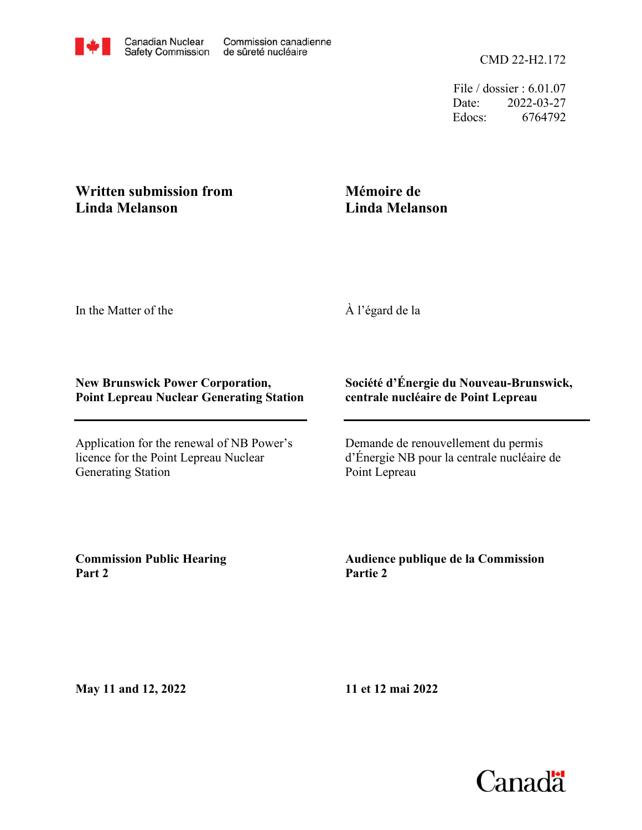File / dossier : 6.01.07 Date: 2022-03-27 Edocs: 6764792

## **Written submission from Linda Melanson**

## **Mémoire de Linda Melanson**

In the Matter of the

À l'égard de la

## **New Brunswick Power Corporation, Point Lepreau Nuclear Generating Station**

Application for the renewal of NB Power's licence for the Point Lepreau Nuclear Generating Station

## **Société d'Énergie du Nouveau-Brunswick, centrale nucléaire de Point Lepreau**

Demande de renouvellement du permis d'Énergie NB pour la centrale nucléaire de Point Lepreau

**Commission Public Hearing Part 2**

**Audience publique de la Commission Partie 2**

**May 11 and 12, 2022**

**11 et 12 mai 2022**